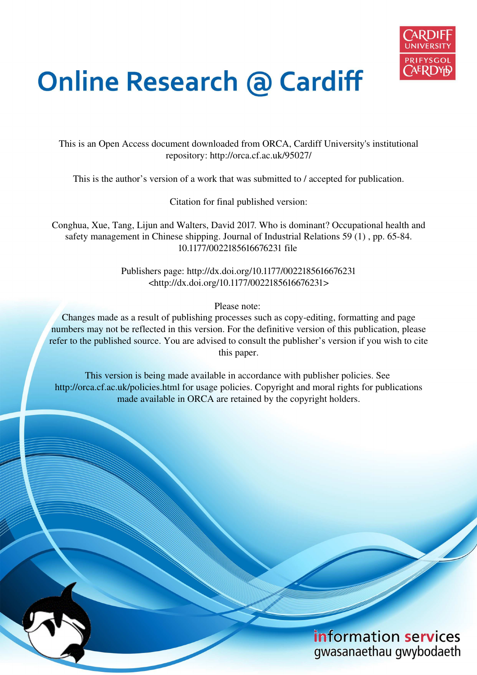

# **Online Research @ Cardiff**

This is an Open Access document downloaded from ORCA, Cardiff University's institutional repository: http://orca.cf.ac.uk/95027/

This is the author's version of a work that was submitted to / accepted for publication.

Citation for final published version:

Conghua, Xue, Tang, Lijun and Walters, David 2017. Who is dominant? Occupational health and safety management in Chinese shipping. Journal of Industrial Relations 59 (1) , pp. 65-84. 10.1177/0022185616676231 file

> Publishers page: http://dx.doi.org/10.1177/0022185616676231 <http://dx.doi.org/10.1177/0022185616676231>

> > Please note:

Changes made as a result of publishing processes such as copy-editing, formatting and page numbers may not be reflected in this version. For the definitive version of this publication, please refer to the published source. You are advised to consult the publisher's version if you wish to cite this paper.

This version is being made available in accordance with publisher policies. See http://orca.cf.ac.uk/policies.html for usage policies. Copyright and moral rights for publications made available in ORCA are retained by the copyright holders.

# information services gwasanaethau gwybodaeth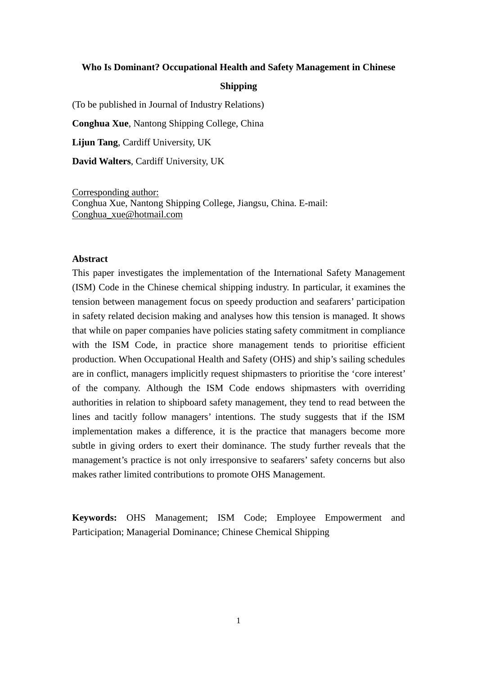#### **Who Is Dominant? Occupational Health and Safety Management in Chinese**

#### **Shipping**

(To be published in Journal of Industry Relations)

**Conghua Xue**, Nantong Shipping College, China

**Lijun Tang**, Cardiff University, UK

**David Walters**, Cardiff University, UK

Corresponding author: Conghua Xue, Nantong Shipping College, Jiangsu, China. E-mail: Conghua\_xue@hotmail.com

#### **Abstract**

This paper investigates the implementation of the International Safety Management (ISM) Code in the Chinese chemical shipping industry. In particular, it examines the tension between management focus on speedy production and seafarers' participation in safety related decision making and analyses how this tension is managed. It shows that while on paper companies have policies stating safety commitment in compliance with the ISM Code, in practice shore management tends to prioritise efficient production. When Occupational Health and Safety (OHS) and ship's sailing schedules are in conflict, managers implicitly request shipmasters to prioritise the 'core interest' of the company. Although the ISM Code endows shipmasters with overriding authorities in relation to shipboard safety management, they tend to read between the lines and tacitly follow managers' intentions. The study suggests that if the ISM implementation makes a difference, it is the practice that managers become more subtle in giving orders to exert their dominance. The study further reveals that the management's practice is not only irresponsive to seafarers' safety concerns but also makes rather limited contributions to promote OHS Management.

**Keywords:** OHS Management; ISM Code; Employee Empowerment and Participation; Managerial Dominance; Chinese Chemical Shipping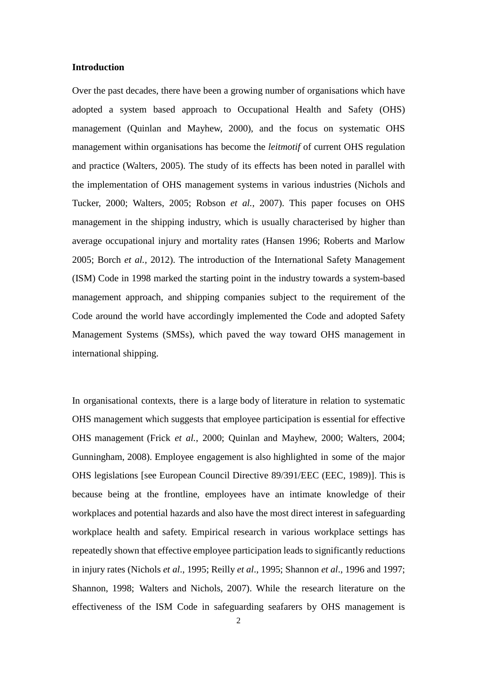#### **Introduction**

Over the past decades, there have been a growing number of organisations which have adopted a system based approach to Occupational Health and Safety (OHS) management (Quinlan and Mayhew, 2000), and the focus on systematic OHS management within organisations has become the *leitmotif* of current OHS regulation and practice (Walters, 2005). The study of its effects has been noted in parallel with the implementation of OHS management systems in various industries (Nichols and Tucker, 2000; Walters, 2005; Robson *et al.*, 2007). This paper focuses on OHS management in the shipping industry, which is usually characterised by higher than average occupational injury and mortality rates (Hansen 1996; Roberts and Marlow 2005; Borch *et al.,* 2012). The introduction of the International Safety Management (ISM) Code in 1998 marked the starting point in the industry towards a system-based management approach, and shipping companies subject to the requirement of the Code around the world have accordingly implemented the Code and adopted Safety Management Systems (SMSs), which paved the way toward OHS management in international shipping.

In organisational contexts, there is a large body of literature in relation to systematic OHS management which suggests that employee participation is essential for effective OHS management (Frick *et al.*, 2000; Quinlan and Mayhew, 2000; Walters, 2004; Gunningham, 2008). Employee engagement is also highlighted in some of the major OHS legislations [see European Council Directive 89/391/EEC (EEC, 1989)]. This is because being at the frontline, employees have an intimate knowledge of their workplaces and potential hazards and also have the most direct interest in safeguarding workplace health and safety. Empirical research in various workplace settings has repeatedly shown that effective employee participation leads to significantly reductions in injury rates (Nichols *et al*., 1995; Reilly *et al*., 1995; Shannon *et al*., 1996 and 1997; Shannon, 1998; Walters and Nichols, 2007). While the research literature on the effectiveness of the ISM Code in safeguarding seafarers by OHS management is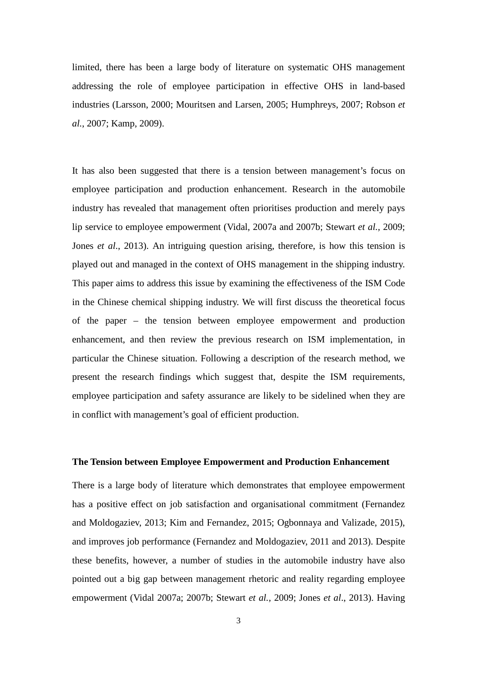limited, there has been a large body of literature on systematic OHS management addressing the role of employee participation in effective OHS in land-based industries (Larsson, 2000; Mouritsen and Larsen, 2005; Humphreys, 2007; Robson *et al.*, 2007; Kamp, 2009).

It has also been suggested that there is a tension between management's focus on employee participation and production enhancement. Research in the automobile industry has revealed that management often prioritises production and merely pays lip service to employee empowerment (Vidal, 2007a and 2007b; Stewart *et al.,* 2009; Jones *et al*., 2013). An intriguing question arising, therefore, is how this tension is played out and managed in the context of OHS management in the shipping industry. This paper aims to address this issue by examining the effectiveness of the ISM Code in the Chinese chemical shipping industry. We will first discuss the theoretical focus of the paper – the tension between employee empowerment and production enhancement, and then review the previous research on ISM implementation, in particular the Chinese situation. Following a description of the research method, we present the research findings which suggest that, despite the ISM requirements, employee participation and safety assurance are likely to be sidelined when they are in conflict with management's goal of efficient production.

# **The Tension between Employee Empowerment and Production Enhancement**

There is a large body of literature which demonstrates that employee empowerment has a positive effect on job satisfaction and organisational commitment (Fernandez and Moldogaziev, 2013; Kim and Fernandez, 2015; Ogbonnaya and Valizade, 2015), and improves job performance (Fernandez and Moldogaziev, 2011 and 2013). Despite these benefits, however, a number of studies in the automobile industry have also pointed out a big gap between management rhetoric and reality regarding employee empowerment (Vidal 2007a; 2007b; Stewart *et al.,* 2009; Jones *et al*., 2013). Having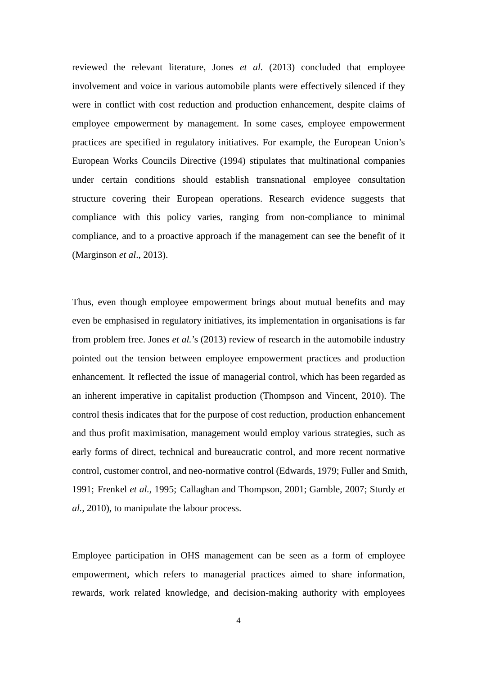reviewed the relevant literature, Jones *et al.* (2013) concluded that employee involvement and voice in various automobile plants were effectively silenced if they were in conflict with cost reduction and production enhancement, despite claims of employee empowerment by management. In some cases, employee empowerment practices are specified in regulatory initiatives. For example, the European Union's European Works Councils Directive (1994) stipulates that multinational companies under certain conditions should establish transnational employee consultation structure covering their European operations. Research evidence suggests that compliance with this policy varies, ranging from non-compliance to minimal compliance, and to a proactive approach if the management can see the benefit of it (Marginson *et al*., 2013).

Thus, even though employee empowerment brings about mutual benefits and may even be emphasised in regulatory initiatives, its implementation in organisations is far from problem free. Jones *et al.*'s (2013) review of research in the automobile industry pointed out the tension between employee empowerment practices and production enhancement. It reflected the issue of managerial control, which has been regarded as an inherent imperative in capitalist production (Thompson and Vincent, 2010). The control thesis indicates that for the purpose of cost reduction, production enhancement and thus profit maximisation, management would employ various strategies, such as early forms of direct, technical and bureaucratic control, and more recent normative control, customer control, and neo-normative control (Edwards, 1979; Fuller and Smith, 1991; Frenkel *et al.,* 1995; Callaghan and Thompson, 2001; Gamble, 2007; Sturdy *et al.,* 2010), to manipulate the labour process.

Employee participation in OHS management can be seen as a form of employee empowerment, which refers to managerial practices aimed to share information, rewards, work related knowledge, and decision-making authority with employees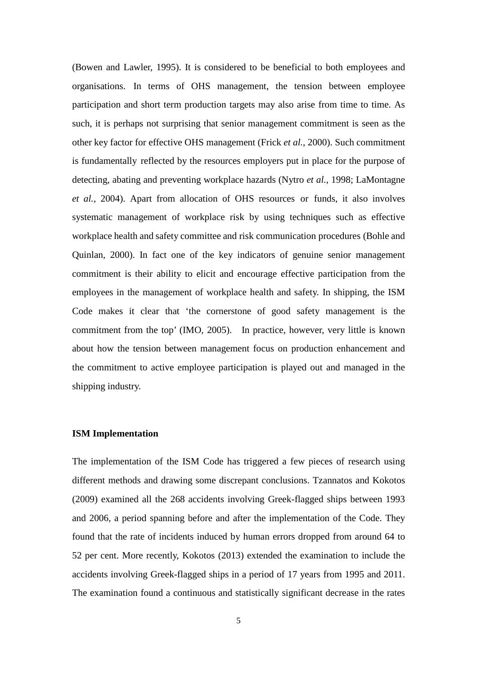(Bowen and Lawler, 1995). It is considered to be beneficial to both employees and organisations. In terms of OHS management, the tension between employee participation and short term production targets may also arise from time to time. As such, it is perhaps not surprising that senior management commitment is seen as the other key factor for effective OHS management (Frick *et al.,* 2000). Such commitment is fundamentally reflected by the resources employers put in place for the purpose of detecting, abating and preventing workplace hazards (Nytro *et al.,* 1998; LaMontagne *et al.,* 2004). Apart from allocation of OHS resources or funds, it also involves systematic management of workplace risk by using techniques such as effective workplace health and safety committee and risk communication procedures (Bohle and Quinlan, 2000). In fact one of the key indicators of genuine senior management commitment is their ability to elicit and encourage effective participation from the employees in the management of workplace health and safety. In shipping, the ISM Code makes it clear that 'the cornerstone of good safety management is the commitment from the top' (IMO, 2005). In practice, however, very little is known about how the tension between management focus on production enhancement and the commitment to active employee participation is played out and managed in the shipping industry.

#### **ISM Implementation**

The implementation of the ISM Code has triggered a few pieces of research using different methods and drawing some discrepant conclusions. Tzannatos and Kokotos (2009) examined all the 268 accidents involving Greek-flagged ships between 1993 and 2006, a period spanning before and after the implementation of the Code. They found that the rate of incidents induced by human errors dropped from around 64 to 52 per cent. More recently, Kokotos (2013) extended the examination to include the accidents involving Greek-flagged ships in a period of 17 years from 1995 and 2011. The examination found a continuous and statistically significant decrease in the rates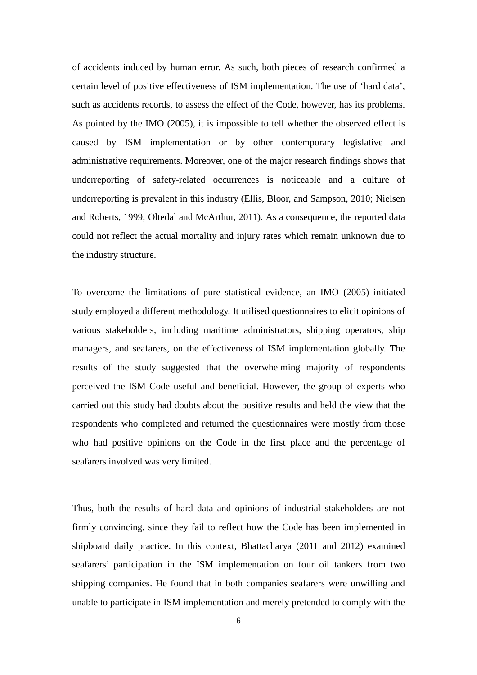of accidents induced by human error. As such, both pieces of research confirmed a certain level of positive effectiveness of ISM implementation. The use of 'hard data', such as accidents records, to assess the effect of the Code, however, has its problems. As pointed by the IMO (2005), it is impossible to tell whether the observed effect is caused by ISM implementation or by other contemporary legislative and administrative requirements. Moreover, one of the major research findings shows that underreporting of safety-related occurrences is noticeable and a culture of underreporting is prevalent in this industry (Ellis, Bloor, and Sampson, 2010; Nielsen and Roberts, 1999; Oltedal and McArthur, 2011). As a consequence, the reported data could not reflect the actual mortality and injury rates which remain unknown due to the industry structure.

To overcome the limitations of pure statistical evidence, an IMO (2005) initiated study employed a different methodology. It utilised questionnaires to elicit opinions of various stakeholders, including maritime administrators, shipping operators, ship managers, and seafarers, on the effectiveness of ISM implementation globally. The results of the study suggested that the overwhelming majority of respondents perceived the ISM Code useful and beneficial. However, the group of experts who carried out this study had doubts about the positive results and held the view that the respondents who completed and returned the questionnaires were mostly from those who had positive opinions on the Code in the first place and the percentage of seafarers involved was very limited.

Thus, both the results of hard data and opinions of industrial stakeholders are not firmly convincing, since they fail to reflect how the Code has been implemented in shipboard daily practice. In this context, Bhattacharya (2011 and 2012) examined seafarers' participation in the ISM implementation on four oil tankers from two shipping companies. He found that in both companies seafarers were unwilling and unable to participate in ISM implementation and merely pretended to comply with the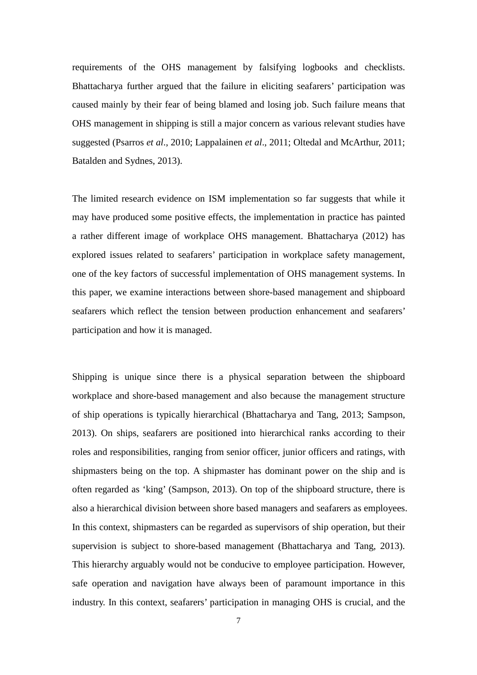requirements of the OHS management by falsifying logbooks and checklists. Bhattacharya further argued that the failure in eliciting seafarers' participation was caused mainly by their fear of being blamed and losing job. Such failure means that OHS management in shipping is still a major concern as various relevant studies have suggested (Psarros *et al*., 2010; Lappalainen *et al*., 2011; Oltedal and McArthur, 2011; Batalden and Sydnes, 2013).

The limited research evidence on ISM implementation so far suggests that while it may have produced some positive effects, the implementation in practice has painted a rather different image of workplace OHS management. Bhattacharya (2012) has explored issues related to seafarers' participation in workplace safety management, one of the key factors of successful implementation of OHS management systems. In this paper, we examine interactions between shore-based management and shipboard seafarers which reflect the tension between production enhancement and seafarers' participation and how it is managed.

Shipping is unique since there is a physical separation between the shipboard workplace and shore-based management and also because the management structure of ship operations is typically hierarchical (Bhattacharya and Tang, 2013; Sampson, 2013). On ships, seafarers are positioned into hierarchical ranks according to their roles and responsibilities, ranging from senior officer, junior officers and ratings, with shipmasters being on the top. A shipmaster has dominant power on the ship and is often regarded as 'king' (Sampson, 2013). On top of the shipboard structure, there is also a hierarchical division between shore based managers and seafarers as employees. In this context, shipmasters can be regarded as supervisors of ship operation, but their supervision is subject to shore-based management (Bhattacharya and Tang, 2013). This hierarchy arguably would not be conducive to employee participation. However, safe operation and navigation have always been of paramount importance in this industry. In this context, seafarers' participation in managing OHS is crucial, and the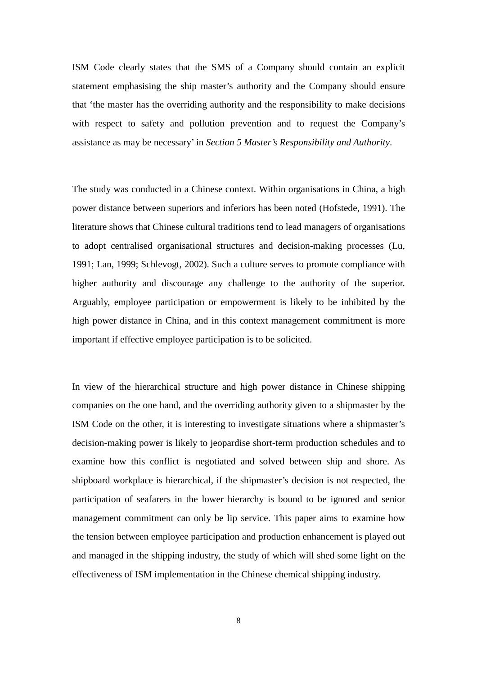ISM Code clearly states that the SMS of a Company should contain an explicit statement emphasising the ship master's authority and the Company should ensure that 'the master has the overriding authority and the responsibility to make decisions with respect to safety and pollution prevention and to request the Company's assistance as may be necessary' in *Section 5 Master's Responsibility and Authority*.

The study was conducted in a Chinese context. Within organisations in China, a high power distance between superiors and inferiors has been noted (Hofstede, 1991). The literature shows that Chinese cultural traditions tend to lead managers of organisations to adopt centralised organisational structures and decision-making processes (Lu, 1991; Lan, 1999; Schlevogt, 2002). Such a culture serves to promote compliance with higher authority and discourage any challenge to the authority of the superior. Arguably, employee participation or empowerment is likely to be inhibited by the high power distance in China, and in this context management commitment is more important if effective employee participation is to be solicited.

In view of the hierarchical structure and high power distance in Chinese shipping companies on the one hand, and the overriding authority given to a shipmaster by the ISM Code on the other, it is interesting to investigate situations where a shipmaster's decision-making power is likely to jeopardise short-term production schedules and to examine how this conflict is negotiated and solved between ship and shore. As shipboard workplace is hierarchical, if the shipmaster's decision is not respected, the participation of seafarers in the lower hierarchy is bound to be ignored and senior management commitment can only be lip service. This paper aims to examine how the tension between employee participation and production enhancement is played out and managed in the shipping industry, the study of which will shed some light on the effectiveness of ISM implementation in the Chinese chemical shipping industry.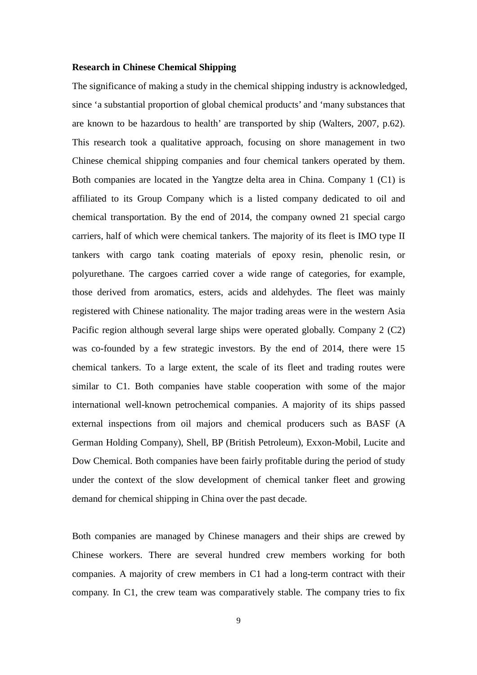#### **Research in Chinese Chemical Shipping**

The significance of making a study in the chemical shipping industry is acknowledged, since 'a substantial proportion of global chemical products' and 'many substances that are known to be hazardous to health' are transported by ship (Walters, 2007, p.62). This research took a qualitative approach, focusing on shore management in two Chinese chemical shipping companies and four chemical tankers operated by them. Both companies are located in the Yangtze delta area in China. Company 1 (C1) is affiliated to its Group Company which is a listed company dedicated to oil and chemical transportation. By the end of 2014, the company owned 21 special cargo carriers, half of which were chemical tankers. The majority of its fleet is IMO type II tankers with cargo tank coating materials of epoxy resin, phenolic resin, or polyurethane. The cargoes carried cover a wide range of categories, for example, those derived from aromatics, esters, acids and aldehydes. The fleet was mainly registered with Chinese nationality. The major trading areas were in the western Asia Pacific region although several large ships were operated globally. Company 2 (C2) was co-founded by a few strategic investors. By the end of 2014, there were 15 chemical tankers. To a large extent, the scale of its fleet and trading routes were similar to C1. Both companies have stable cooperation with some of the major international well-known petrochemical companies. A majority of its ships passed external inspections from oil majors and chemical producers such as BASF (A German Holding Company), Shell, BP (British Petroleum), Exxon-Mobil, Lucite and Dow Chemical. Both companies have been fairly profitable during the period of study under the context of the slow development of chemical tanker fleet and growing demand for chemical shipping in China over the past decade.

Both companies are managed by Chinese managers and their ships are crewed by Chinese workers. There are several hundred crew members working for both companies. A majority of crew members in C1 had a long-term contract with their company. In C1, the crew team was comparatively stable. The company tries to fix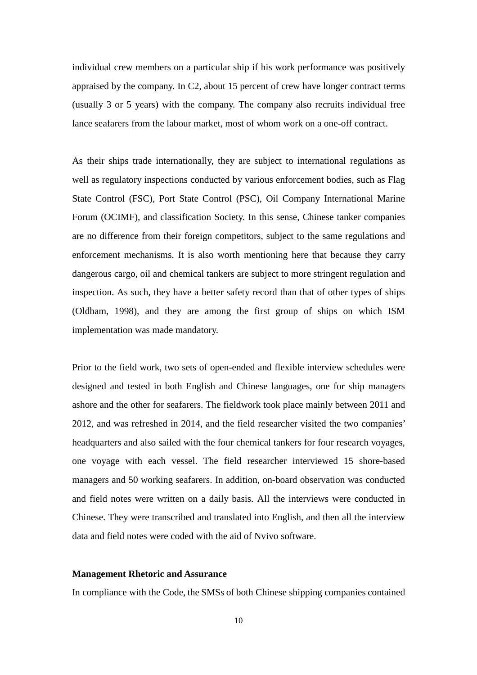individual crew members on a particular ship if his work performance was positively appraised by the company. In C2, about 15 percent of crew have longer contract terms (usually 3 or 5 years) with the company. The company also recruits individual free lance seafarers from the labour market, most of whom work on a one-off contract.

As their ships trade internationally, they are subject to international regulations as well as regulatory inspections conducted by various enforcement bodies, such as Flag State Control (FSC), Port State Control (PSC), Oil Company International Marine Forum (OCIMF), and classification Society. In this sense, Chinese tanker companies are no difference from their foreign competitors, subject to the same regulations and enforcement mechanisms. It is also worth mentioning here that because they carry dangerous cargo, oil and chemical tankers are subject to more stringent regulation and inspection. As such, they have a better safety record than that of other types of ships (Oldham, 1998), and they are among the first group of ships on which ISM implementation was made mandatory.

Prior to the field work, two sets of open-ended and flexible interview schedules were designed and tested in both English and Chinese languages, one for ship managers ashore and the other for seafarers. The fieldwork took place mainly between 2011 and 2012, and was refreshed in 2014, and the field researcher visited the two companies' headquarters and also sailed with the four chemical tankers for four research voyages, one voyage with each vessel. The field researcher interviewed 15 shore-based managers and 50 working seafarers. In addition, on-board observation was conducted and field notes were written on a daily basis. All the interviews were conducted in Chinese. They were transcribed and translated into English, and then all the interview data and field notes were coded with the aid of Nvivo software.

#### **Management Rhetoric and Assurance**

In compliance with the Code, the SMSs of both Chinese shipping companies contained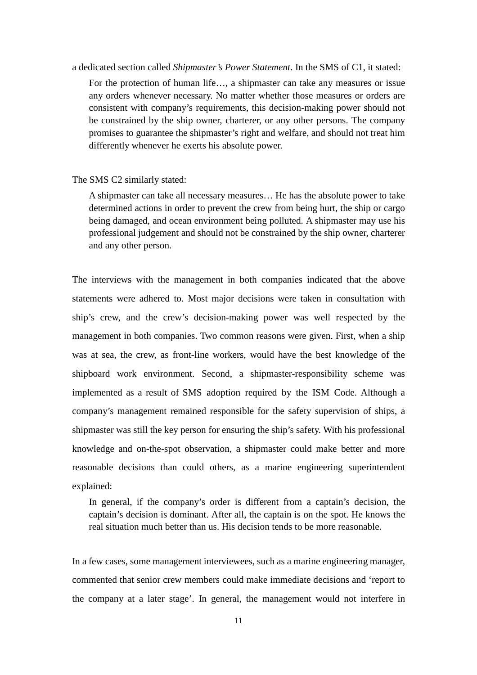a dedicated section called *Shipmaster's Power Statement*. In the SMS of C1, it stated:

For the protection of human life…, a shipmaster can take any measures or issue any orders whenever necessary. No matter whether those measures or orders are consistent with company's requirements, this decision-making power should not be constrained by the ship owner, charterer, or any other persons. The company promises to guarantee the shipmaster's right and welfare, and should not treat him differently whenever he exerts his absolute power.

#### The SMS C2 similarly stated:

A shipmaster can take all necessary measures… He has the absolute power to take determined actions in order to prevent the crew from being hurt, the ship or cargo being damaged, and ocean environment being polluted. A shipmaster may use his professional judgement and should not be constrained by the ship owner, charterer and any other person.

The interviews with the management in both companies indicated that the above statements were adhered to. Most major decisions were taken in consultation with ship's crew, and the crew's decision-making power was well respected by the management in both companies. Two common reasons were given. First, when a ship was at sea, the crew, as front-line workers, would have the best knowledge of the shipboard work environment. Second, a shipmaster-responsibility scheme was implemented as a result of SMS adoption required by the ISM Code. Although a company's management remained responsible for the safety supervision of ships, a shipmaster was still the key person for ensuring the ship's safety. With his professional knowledge and on-the-spot observation, a shipmaster could make better and more reasonable decisions than could others, as a marine engineering superintendent explained:

In general, if the company's order is different from a captain's decision, the captain's decision is dominant. After all, the captain is on the spot. He knows the real situation much better than us. His decision tends to be more reasonable.

In a few cases, some management interviewees, such as a marine engineering manager, commented that senior crew members could make immediate decisions and 'report to the company at a later stage'. In general, the management would not interfere in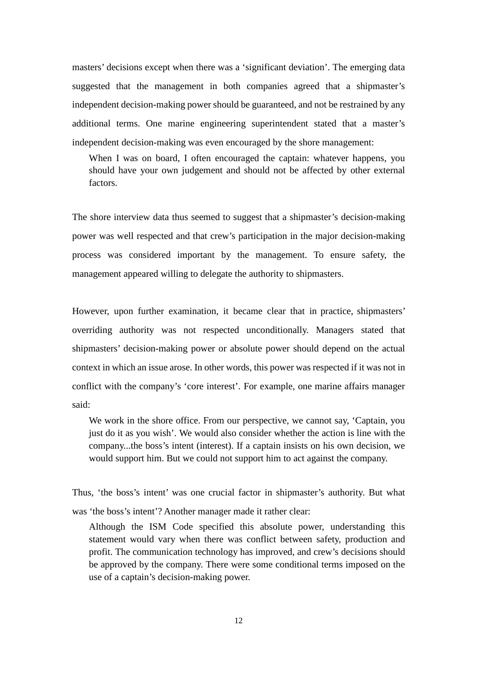masters' decisions except when there was a 'significant deviation'. The emerging data suggested that the management in both companies agreed that a shipmaster's independent decision-making power should be guaranteed, and not be restrained by any additional terms. One marine engineering superintendent stated that a master's independent decision-making was even encouraged by the shore management:

When I was on board, I often encouraged the captain: whatever happens, you should have your own judgement and should not be affected by other external factors.

The shore interview data thus seemed to suggest that a shipmaster's decision-making power was well respected and that crew's participation in the major decision-making process was considered important by the management. To ensure safety, the management appeared willing to delegate the authority to shipmasters.

However, upon further examination, it became clear that in practice, shipmasters' overriding authority was not respected unconditionally. Managers stated that shipmasters' decision-making power or absolute power should depend on the actual context in which an issue arose. In other words, this power was respected if it was not in conflict with the company's 'core interest'. For example, one marine affairs manager said:

We work in the shore office. From our perspective, we cannot say, 'Captain, you just do it as you wish'. We would also consider whether the action is line with the company...the boss's intent (interest). If a captain insists on his own decision, we would support him. But we could not support him to act against the company.

Thus, 'the boss's intent' was one crucial factor in shipmaster's authority. But what was 'the boss's intent'? Another manager made it rather clear:

Although the ISM Code specified this absolute power, understanding this statement would vary when there was conflict between safety, production and profit. The communication technology has improved, and crew's decisions should be approved by the company. There were some conditional terms imposed on the use of a captain's decision-making power.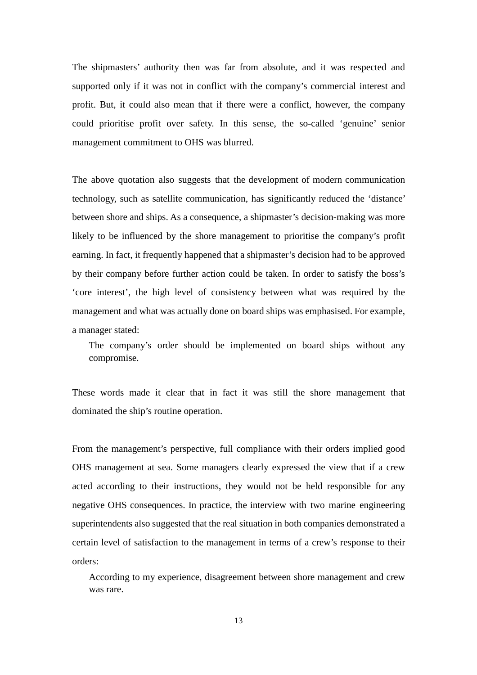The shipmasters' authority then was far from absolute, and it was respected and supported only if it was not in conflict with the company's commercial interest and profit. But, it could also mean that if there were a conflict, however, the company could prioritise profit over safety. In this sense, the so-called 'genuine' senior management commitment to OHS was blurred.

The above quotation also suggests that the development of modern communication technology, such as satellite communication, has significantly reduced the 'distance' between shore and ships. As a consequence, a shipmaster's decision-making was more likely to be influenced by the shore management to prioritise the company's profit earning. In fact, it frequently happened that a shipmaster's decision had to be approved by their company before further action could be taken. In order to satisfy the boss's 'core interest', the high level of consistency between what was required by the management and what was actually done on board ships was emphasised. For example, a manager stated:

The company's order should be implemented on board ships without any compromise.

These words made it clear that in fact it was still the shore management that dominated the ship's routine operation.

From the management's perspective, full compliance with their orders implied good OHS management at sea. Some managers clearly expressed the view that if a crew acted according to their instructions, they would not be held responsible for any negative OHS consequences. In practice, the interview with two marine engineering superintendents also suggested that the real situation in both companies demonstrated a certain level of satisfaction to the management in terms of a crew's response to their orders:

According to my experience, disagreement between shore management and crew was rare.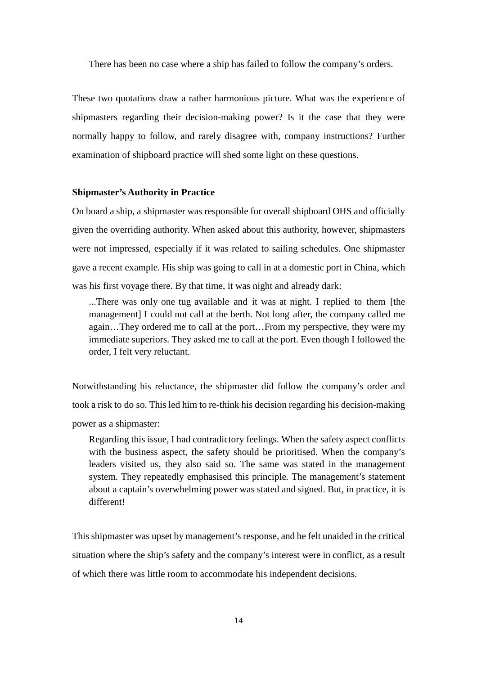There has been no case where a ship has failed to follow the company's orders.

These two quotations draw a rather harmonious picture. What was the experience of shipmasters regarding their decision-making power? Is it the case that they were normally happy to follow, and rarely disagree with, company instructions? Further examination of shipboard practice will shed some light on these questions.

#### **Shipmaster's Authority in Practice**

On board a ship, a shipmaster was responsible for overall shipboard OHS and officially given the overriding authority. When asked about this authority, however, shipmasters were not impressed, especially if it was related to sailing schedules. One shipmaster gave a recent example. His ship was going to call in at a domestic port in China, which was his first voyage there. By that time, it was night and already dark:

...There was only one tug available and it was at night. I replied to them [the management] I could not call at the berth. Not long after, the company called me again…They ordered me to call at the port…From my perspective, they were my immediate superiors. They asked me to call at the port. Even though I followed the order, I felt very reluctant.

Notwithstanding his reluctance, the shipmaster did follow the company's order and took a risk to do so. This led him to re-think his decision regarding his decision-making power as a shipmaster:

Regarding this issue, I had contradictory feelings. When the safety aspect conflicts with the business aspect, the safety should be prioritised. When the company's leaders visited us, they also said so. The same was stated in the management system. They repeatedly emphasised this principle. The management's statement about a captain's overwhelming power was stated and signed. But, in practice, it is different!

This shipmaster was upset by management's response, and he felt unaided in the critical situation where the ship's safety and the company's interest were in conflict, as a result of which there was little room to accommodate his independent decisions.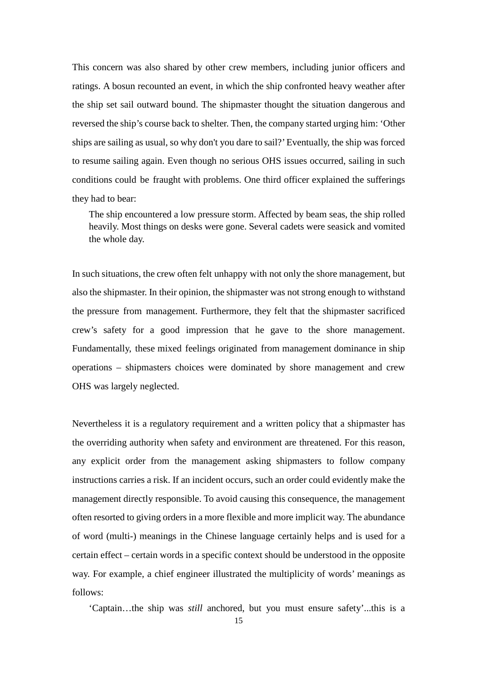This concern was also shared by other crew members, including junior officers and ratings. A bosun recounted an event, in which the ship confronted heavy weather after the ship set sail outward bound. The shipmaster thought the situation dangerous and reversed the ship's course back to shelter. Then, the company started urging him: 'Other ships are sailing as usual, so why don't you dare to sail?' Eventually, the ship was forced to resume sailing again. Even though no serious OHS issues occurred, sailing in such conditions could be fraught with problems. One third officer explained the sufferings they had to bear:

The ship encountered a low pressure storm. Affected by beam seas, the ship rolled heavily. Most things on desks were gone. Several cadets were seasick and vomited the whole day.

In such situations, the crew often felt unhappy with not only the shore management, but also the shipmaster. In their opinion, the shipmaster was not strong enough to withstand the pressure from management. Furthermore, they felt that the shipmaster sacrificed crew's safety for a good impression that he gave to the shore management. Fundamentally, these mixed feelings originated from management dominance in ship operations – shipmasters choices were dominated by shore management and crew OHS was largely neglected.

Nevertheless it is a regulatory requirement and a written policy that a shipmaster has the overriding authority when safety and environment are threatened. For this reason, any explicit order from the management asking shipmasters to follow company instructions carries a risk. If an incident occurs, such an order could evidently make the management directly responsible. To avoid causing this consequence, the management often resorted to giving orders in a more flexible and more implicit way. The abundance of word (multi-) meanings in the Chinese language certainly helps and is used for a certain effect – certain words in a specific context should be understood in the opposite way. For example, a chief engineer illustrated the multiplicity of words' meanings as follows:

'Captain…the ship was *still* anchored, but you must ensure safety'...this is a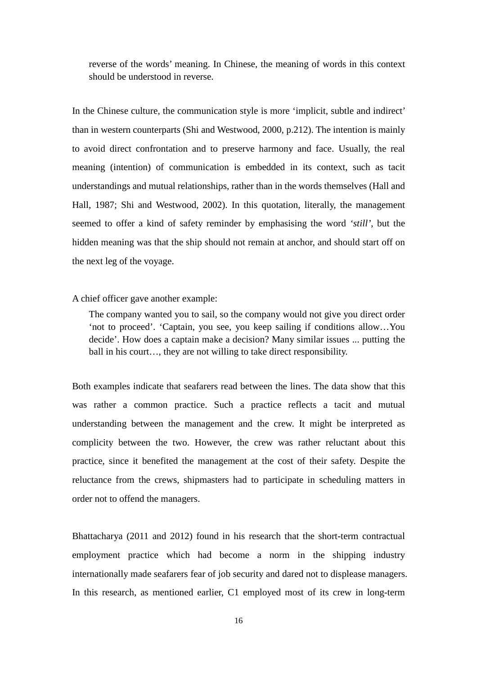reverse of the words' meaning. In Chinese, the meaning of words in this context should be understood in reverse.

In the Chinese culture, the communication style is more 'implicit, subtle and indirect' than in western counterparts (Shi and Westwood, 2000, p.212). The intention is mainly to avoid direct confrontation and to preserve harmony and face. Usually, the real meaning (intention) of communication is embedded in its context, such as tacit understandings and mutual relationships, rather than in the words themselves (Hall and Hall, 1987; Shi and Westwood, 2002). In this quotation, literally, the management seemed to offer a kind of safety reminder by emphasising the word *'still'*, but the hidden meaning was that the ship should not remain at anchor, and should start off on the next leg of the voyage.

A chief officer gave another example:

The company wanted you to sail, so the company would not give you direct order 'not to proceed'. 'Captain, you see, you keep sailing if conditions allow…You decide'. How does a captain make a decision? Many similar issues ... putting the ball in his court…, they are not willing to take direct responsibility.

Both examples indicate that seafarers read between the lines. The data show that this was rather a common practice. Such a practice reflects a tacit and mutual understanding between the management and the crew. It might be interpreted as complicity between the two. However, the crew was rather reluctant about this practice, since it benefited the management at the cost of their safety. Despite the reluctance from the crews, shipmasters had to participate in scheduling matters in order not to offend the managers.

Bhattacharya (2011 and 2012) found in his research that the short-term contractual employment practice which had become a norm in the shipping industry internationally made seafarers fear of job security and dared not to displease managers. In this research, as mentioned earlier, C1 employed most of its crew in long-term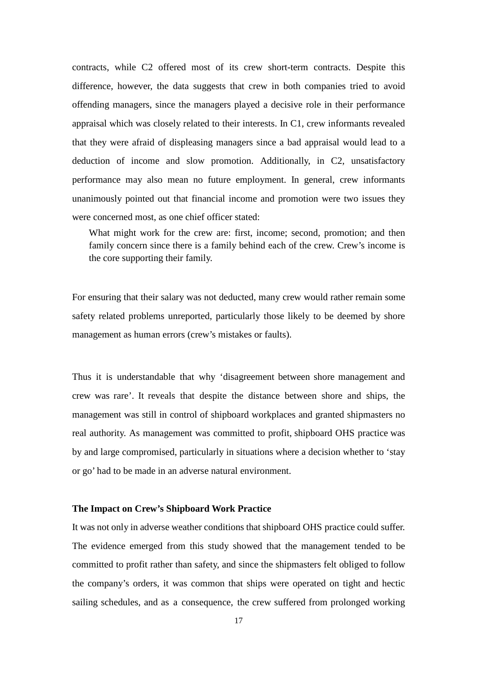contracts, while C2 offered most of its crew short-term contracts. Despite this difference, however, the data suggests that crew in both companies tried to avoid offending managers, since the managers played a decisive role in their performance appraisal which was closely related to their interests. In C1, crew informants revealed that they were afraid of displeasing managers since a bad appraisal would lead to a deduction of income and slow promotion. Additionally, in C2, unsatisfactory performance may also mean no future employment. In general, crew informants unanimously pointed out that financial income and promotion were two issues they were concerned most, as one chief officer stated:

What might work for the crew are: first, income; second, promotion; and then family concern since there is a family behind each of the crew. Crew's income is the core supporting their family.

For ensuring that their salary was not deducted, many crew would rather remain some safety related problems unreported, particularly those likely to be deemed by shore management as human errors (crew's mistakes or faults).

Thus it is understandable that why 'disagreement between shore management and crew was rare'. It reveals that despite the distance between shore and ships, the management was still in control of shipboard workplaces and granted shipmasters no real authority. As management was committed to profit, shipboard OHS practice was by and large compromised, particularly in situations where a decision whether to 'stay or go' had to be made in an adverse natural environment.

#### **The Impact on Crew's Shipboard Work Practice**

It was not only in adverse weather conditions that shipboard OHS practice could suffer. The evidence emerged from this study showed that the management tended to be committed to profit rather than safety, and since the shipmasters felt obliged to follow the company's orders, it was common that ships were operated on tight and hectic sailing schedules, and as a consequence, the crew suffered from prolonged working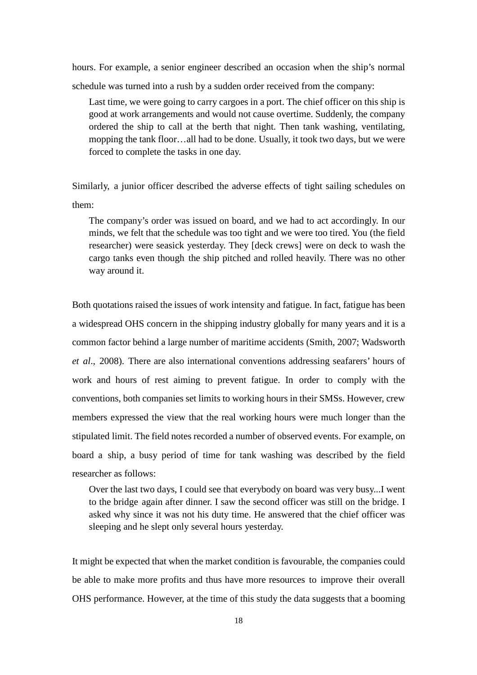hours. For example, a senior engineer described an occasion when the ship's normal schedule was turned into a rush by a sudden order received from the company:

Last time, we were going to carry cargoes in a port. The chief officer on this ship is good at work arrangements and would not cause overtime. Suddenly, the company ordered the ship to call at the berth that night. Then tank washing, ventilating, mopping the tank floor…all had to be done. Usually, it took two days, but we were forced to complete the tasks in one day.

Similarly, a junior officer described the adverse effects of tight sailing schedules on them:

The company's order was issued on board, and we had to act accordingly. In our minds, we felt that the schedule was too tight and we were too tired. You (the field researcher) were seasick yesterday. They [deck crews] were on deck to wash the cargo tanks even though the ship pitched and rolled heavily. There was no other way around it.

Both quotations raised the issues of work intensity and fatigue. In fact, fatigue has been a widespread OHS concern in the shipping industry globally for many years and it is a common factor behind a large number of maritime accidents (Smith, 2007; Wadsworth *et al*., 2008). There are also international conventions addressing seafarers' hours of work and hours of rest aiming to prevent fatigue. In order to comply with the conventions, both companies set limits to working hours in their SMSs. However, crew members expressed the view that the real working hours were much longer than the stipulated limit. The field notes recorded a number of observed events. For example, on board a ship, a busy period of time for tank washing was described by the field researcher as follows:

Over the last two days, I could see that everybody on board was very busy...I went to the bridge again after dinner. I saw the second officer was still on the bridge. I asked why since it was not his duty time. He answered that the chief officer was sleeping and he slept only several hours yesterday.

It might be expected that when the market condition is favourable, the companies could be able to make more profits and thus have more resources to improve their overall OHS performance. However, at the time of this study the data suggests that a booming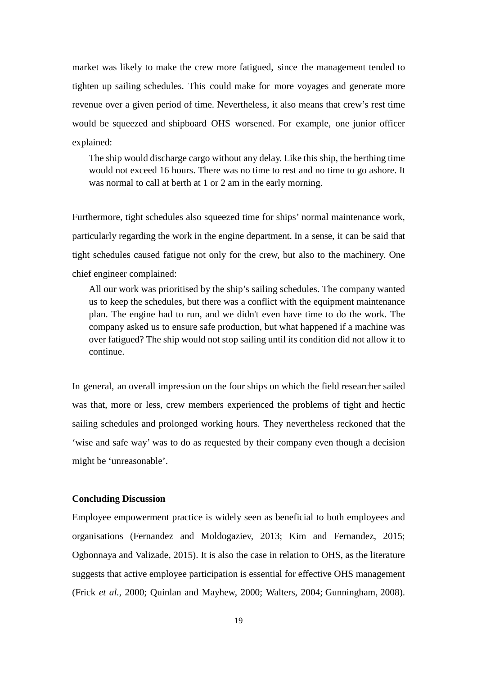market was likely to make the crew more fatigued, since the management tended to tighten up sailing schedules. This could make for more voyages and generate more revenue over a given period of time. Nevertheless, it also means that crew's rest time would be squeezed and shipboard OHS worsened. For example, one junior officer explained:

The ship would discharge cargo without any delay. Like this ship, the berthing time would not exceed 16 hours. There was no time to rest and no time to go ashore. It was normal to call at berth at 1 or 2 am in the early morning.

Furthermore, tight schedules also squeezed time for ships' normal maintenance work, particularly regarding the work in the engine department. In a sense, it can be said that tight schedules caused fatigue not only for the crew, but also to the machinery. One chief engineer complained:

All our work was prioritised by the ship's sailing schedules. The company wanted us to keep the schedules, but there was a conflict with the equipment maintenance plan. The engine had to run, and we didn't even have time to do the work. The company asked us to ensure safe production, but what happened if a machine was over fatigued? The ship would not stop sailing until its condition did not allow it to continue.

In general, an overall impression on the four ships on which the field researcher sailed was that, more or less, crew members experienced the problems of tight and hectic sailing schedules and prolonged working hours. They nevertheless reckoned that the 'wise and safe way' was to do as requested by their company even though a decision might be 'unreasonable'.

#### **Concluding Discussion**

Employee empowerment practice is widely seen as beneficial to both employees and organisations (Fernandez and Moldogaziev, 2013; Kim and Fernandez, 2015; Ogbonnaya and Valizade, 2015). It is also the case in relation to OHS, as the literature suggests that active employee participation is essential for effective OHS management (Frick *et al.*, 2000; Quinlan and Mayhew, 2000; Walters, 2004; Gunningham, 2008).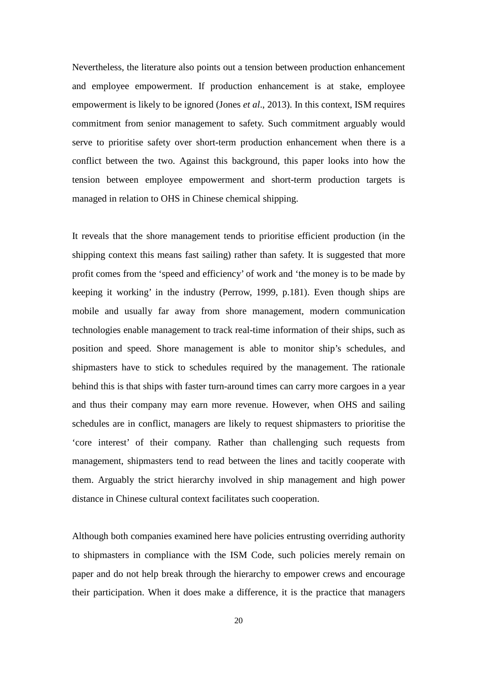Nevertheless, the literature also points out a tension between production enhancement and employee empowerment. If production enhancement is at stake, employee empowerment is likely to be ignored (Jones *et al*., 2013). In this context, ISM requires commitment from senior management to safety. Such commitment arguably would serve to prioritise safety over short-term production enhancement when there is a conflict between the two. Against this background, this paper looks into how the tension between employee empowerment and short-term production targets is managed in relation to OHS in Chinese chemical shipping.

It reveals that the shore management tends to prioritise efficient production (in the shipping context this means fast sailing) rather than safety. It is suggested that more profit comes from the 'speed and efficiency' of work and 'the money is to be made by keeping it working' in the industry (Perrow, 1999, p.181). Even though ships are mobile and usually far away from shore management, modern communication technologies enable management to track real-time information of their ships, such as position and speed. Shore management is able to monitor ship's schedules, and shipmasters have to stick to schedules required by the management. The rationale behind this is that ships with faster turn-around times can carry more cargoes in a year and thus their company may earn more revenue. However, when OHS and sailing schedules are in conflict, managers are likely to request shipmasters to prioritise the 'core interest' of their company. Rather than challenging such requests from management, shipmasters tend to read between the lines and tacitly cooperate with them. Arguably the strict hierarchy involved in ship management and high power distance in Chinese cultural context facilitates such cooperation.

Although both companies examined here have policies entrusting overriding authority to shipmasters in compliance with the ISM Code, such policies merely remain on paper and do not help break through the hierarchy to empower crews and encourage their participation. When it does make a difference, it is the practice that managers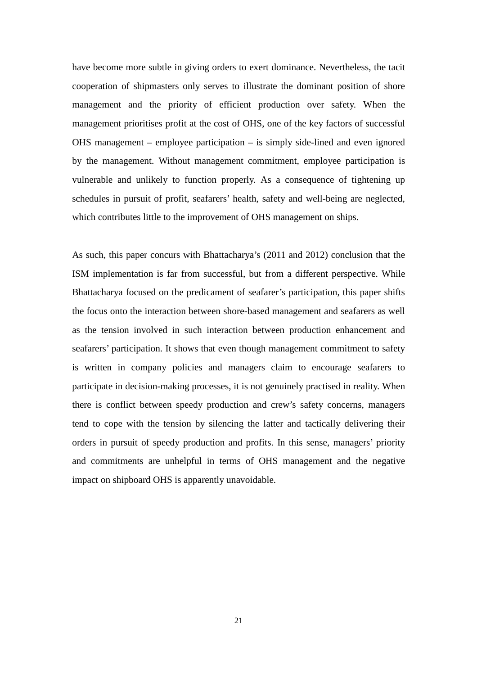have become more subtle in giving orders to exert dominance. Nevertheless, the tacit cooperation of shipmasters only serves to illustrate the dominant position of shore management and the priority of efficient production over safety. When the management prioritises profit at the cost of OHS, one of the key factors of successful OHS management – employee participation – is simply side-lined and even ignored by the management. Without management commitment, employee participation is vulnerable and unlikely to function properly. As a consequence of tightening up schedules in pursuit of profit, seafarers' health, safety and well-being are neglected, which contributes little to the improvement of OHS management on ships.

As such, this paper concurs with Bhattacharya's (2011 and 2012) conclusion that the ISM implementation is far from successful, but from a different perspective. While Bhattacharya focused on the predicament of seafarer's participation, this paper shifts the focus onto the interaction between shore-based management and seafarers as well as the tension involved in such interaction between production enhancement and seafarers' participation. It shows that even though management commitment to safety is written in company policies and managers claim to encourage seafarers to participate in decision-making processes, it is not genuinely practised in reality. When there is conflict between speedy production and crew's safety concerns, managers tend to cope with the tension by silencing the latter and tactically delivering their orders in pursuit of speedy production and profits. In this sense, managers' priority and commitments are unhelpful in terms of OHS management and the negative impact on shipboard OHS is apparently unavoidable.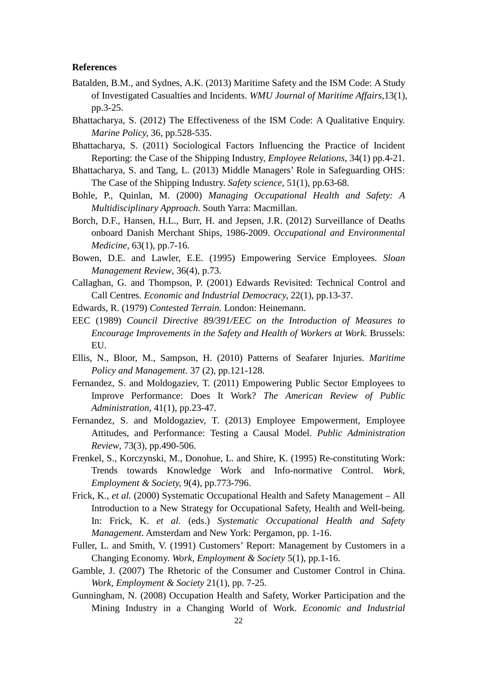#### **References**

- Batalden, B.M., and Sydnes, A.K. (2013) Maritime Safety and the ISM Code: A Study of Investigated Casualties and Incidents. *WMU Journal of Maritime Affairs*,13(1), pp.3-25.
- Bhattacharya, S. (2012) The Effectiveness of the ISM Code: A Qualitative Enquiry. *Marine Policy,* 36, pp.528-535.
- Bhattacharya, S. (2011) Sociological Factors Influencing the Practice of Incident Reporting: the Case of the Shipping Industry, *Employee Relations*, 34(1) pp.4-21.
- Bhattacharya, S. and Tang, L. (2013) Middle Managers' Role in Safeguarding OHS: The Case of the Shipping Industry. *Safety science*, 51(1), pp.63-68.
- Bohle, P., Quinlan, M. (2000) *Managing Occupational Health and Safety: A Multidisciplinary Approach*. South Yarra: Macmillan.
- Borch, D.F., Hansen, H.L., Burr, H. and Jepsen, J.R. (2012) Surveillance of Deaths onboard Danish Merchant Ships, 1986-2009. *Occupational and Environmental Medicine*, 63(1), pp.7-16.
- Bowen, D.E. and Lawler, E.E. (1995) Empowering Service Employees. *Sloan Management Review*, 36(4), p.73.
- Callaghan, G. and Thompson, P. (2001) Edwards Revisited: Technical Control and Call Centres. *Economic and Industrial Democracy,* 22(1), pp.13-37.
- Edwards, R. (1979) *Contested Terrain.* London: Heinemann.
- EEC (1989) *Council Directive 89/391/EEC on the Introduction of Measures to Encourage Improvements in the Safety and Health of Workers at Work*. Brussels: EU.
- Ellis, N., Bloor, M., Sampson, H. (2010) Patterns of Seafarer Injuries. *Maritime Policy and Management*. 37 (2), pp.121-128.
- Fernandez, S. and Moldogaziev, T. (2011) Empowering Public Sector Employees to Improve Performance: Does It Work? *The American Review of Public Administration*, 41(1), pp.23-47.
- Fernandez, S. and Moldogaziev, T. (2013) Employee Empowerment, Employee Attitudes, and Performance: Testing a Causal Model. *Public Administration Review*, 73(3), pp.490-506.
- Frenkel, S., Korczynski, M., Donohue, L. and Shire, K. (1995) Re-constituting Work: Trends towards Knowledge Work and Info-normative Control. *Work, Employment & Society,* 9(4), pp.773-796.
- Frick, K., *et al.* (2000) Systematic Occupational Health and Safety Management All Introduction to a New Strategy for Occupational Safety, Health and Well-being. In: Frick, K. *et al.* (eds.) *Systematic Occupational Health and Safety Management*. Amsterdam and New York: Pergamon, pp. 1-16.
- Fuller, L. and Smith, V. (1991) Customers' Report: Management by Customers in a Changing Economy. *Work, Employment & Society* 5(1), pp.1-16.
- Gamble, J. (2007) The Rhetoric of the Consumer and Customer Control in China. *Work, Employment & Society* 21(1), pp. 7-25.
- Gunningham, N. (2008) Occupation Health and Safety, Worker Participation and the Mining Industry in a Changing World of Work. *Economic and Industrial*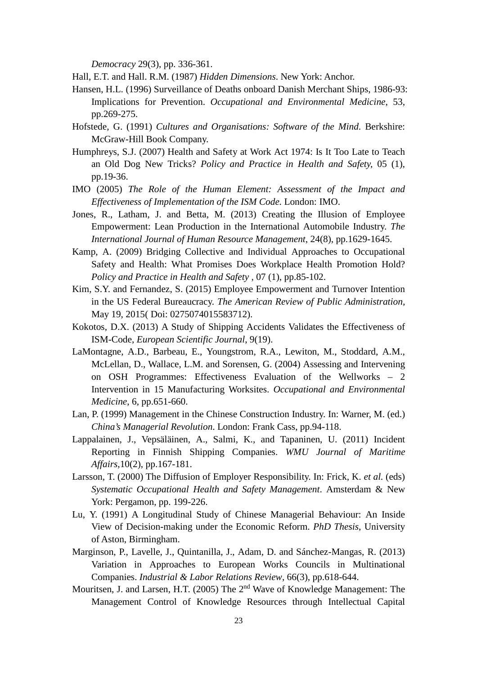*Democracy* 29(3), pp. 336-361.

Hall, E.T. and Hall. R.M. (1987) *Hidden Dimensions*. New York: Anchor.

- Hansen, H.L. (1996) Surveillance of Deaths onboard Danish Merchant Ships, 1986-93: Implications for Prevention. *Occupational and Environmental Medicine*, 53, pp.269-275.
- Hofstede, G. (1991) *Cultures and Organisations: Software of the Mind*. Berkshire: McGraw-Hill Book Company.
- Humphreys, S.J. (2007) Health and Safety at Work Act 1974: Is It Too Late to Teach an Old Dog New Tricks? *Policy and Practice in Health and Safety,* 05 (1), pp.19-36.
- IMO (2005) *The Role of the Human Element: Assessment of the Impact and Effectiveness of Implementation of the ISM Code.* London: IMO.
- Jones, R., Latham, J. and Betta, M. (2013) Creating the Illusion of Employee Empowerment: Lean Production in the International Automobile Industry. *The International Journal of Human Resource Management*, 24(8), pp.1629-1645.
- Kamp, A. (2009) Bridging Collective and Individual Approaches to Occupational Safety and Health: What Promises Does Workplace Health Promotion Hold? *Policy and Practice in Health and Safety* , 07 (1), pp.85-102.
- Kim, S.Y. and Fernandez, S. (2015) Employee Empowerment and Turnover Intention in the US Federal Bureaucracy. *The American Review of Public Administration,* May 19, 2015( Doi: 0275074015583712).
- Kokotos, D.X. (2013) A Study of Shipping Accidents Validates the Effectiveness of ISM-Code, *European Scientific Journal*, 9(19).
- LaMontagne, A.D., Barbeau, E., Youngstrom, R.A., Lewiton, M., Stoddard, A.M., McLellan, D., Wallace, L.M. and Sorensen, G. (2004) Assessing and Intervening on OSH Programmes: Effectiveness Evaluation of the Wellworks – 2 Intervention in 15 Manufacturing Worksites. *Occupational and Environmental Medicine*, 6, pp.651-660.
- Lan, P. (1999) Management in the Chinese Construction Industry. In: Warner, M. (ed.) *China's Managerial Revolution*. London: Frank Cass, pp.94-118.
- Lappalainen, J., Vepsäläinen, A., Salmi, K., and Tapaninen, U. (2011) Incident Reporting in Finnish Shipping Companies. *WMU Journal of Maritime Affairs*,10(2), pp.167-181.
- Larsson, T. (2000) The Diffusion of Employer Responsibility. In: Frick, K. *et al.* (eds) *Systematic Occupational Health and Safety Management*. Amsterdam & New York: Pergamon, pp. 199-226.
- Lu, Y. (1991) A Longitudinal Study of Chinese Managerial Behaviour: An Inside View of Decision-making under the Economic Reform. *PhD Thesis*, University of Aston, Birmingham.
- Marginson, P., Lavelle, J., Quintanilla, J., Adam, D. and Sánchez-Mangas, R. (2013) Variation in Approaches to European Works Councils in Multinational Companies. *Industrial & Labor Relations Review*, 66(3), pp.618-644.
- Mouritsen, J. and Larsen, H.T. (2005) The 2nd Wave of Knowledge Management: The Management Control of Knowledge Resources through Intellectual Capital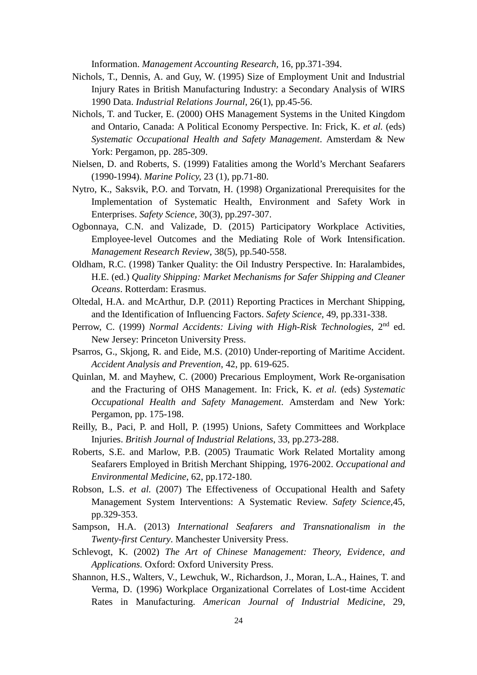Information. *Management Accounting Research,* 16, pp.371-394.

- Nichols, T., Dennis, A. and Guy, W. (1995) Size of Employment Unit and Industrial Injury Rates in British Manufacturing Industry: a Secondary Analysis of WIRS 1990 Data. *Industrial Relations Journal*, 26(1), pp.45-56.
- Nichols, T. and Tucker, E. (2000) OHS Management Systems in the United Kingdom and Ontario, Canada: A Political Economy Perspective. In: Frick, K. *et al.* (eds) *Systematic Occupational Health and Safety Management*. Amsterdam & New York: Pergamon, pp. 285-309.
- Nielsen, D. and Roberts, S. (1999) Fatalities among the World's Merchant Seafarers (1990-1994). *Marine Policy,* 23 (1), pp.71-80.
- Nytro, K., Saksvik, P.O. and Torvatn, H. (1998) Organizational Prerequisites for the Implementation of Systematic Health, Environment and Safety Work in Enterprises. *Safety Science*, 30(3), pp.297-307.
- Ogbonnaya, C.N. and Valizade, D. (2015) Participatory Workplace Activities, Employee-level Outcomes and the Mediating Role of Work Intensification. *Management Research Review*, 38(5), pp.540-558.
- Oldham, R.C. (1998) Tanker Quality: the Oil Industry Perspective. In: Haralambides, H.E. (ed.) *Quality Shipping: Market Mechanisms for Safer Shipping and Cleaner Oceans*. Rotterdam: Erasmus.
- Oltedal, H.A. and McArthur, D.P. (2011) Reporting Practices in Merchant Shipping, and the Identification of Influencing Factors. *Safety Science,* 49, pp.331-338.
- Perrow, C. (1999) *Normal Accidents: Living with High-Risk Technologies*, 2nd ed. New Jersey: Princeton University Press.
- Psarros, G., Skjong, R. and Eide, M.S. (2010) Under-reporting of Maritime Accident. *Accident Analysis and Prevention*, 42, pp. 619-625.
- Quinlan, M. and Mayhew, C. (2000) Precarious Employment, Work Re-organisation and the Fracturing of OHS Management. In: Frick, K. *et al.* (eds) *Systematic Occupational Health and Safety Management*. Amsterdam and New York: Pergamon, pp. 175-198.
- Reilly, B., Paci, P. and Holl, P. (1995) Unions, Safety Committees and Workplace Injuries. *British Journal of Industrial Relations*, 33, pp.273-288.
- Roberts, S.E. and Marlow, P.B. (2005) Traumatic Work Related Mortality among Seafarers Employed in British Merchant Shipping, 1976-2002. *Occupational and Environmental Medicine*, 62, pp.172-180.
- Robson, L.S. *et al.* (2007) The Effectiveness of Occupational Health and Safety Management System Interventions: A Systematic Review. *Safety Science,*45, pp.329-353.
- Sampson, H.A. (2013) *International Seafarers and Transnationalism in the Twenty-first Century*. Manchester University Press.
- Schlevogt, K. (2002) *The Art of Chinese Management: Theory, Evidence, and Applications.* Oxford: Oxford University Press.
- Shannon, H.S., Walters, V., Lewchuk, W., Richardson, J., Moran, L.A., Haines, T. and Verma, D. (1996) Workplace Organizational Correlates of Lost-time Accident Rates in Manufacturing. *American Journal of Industrial Medicine*, 29,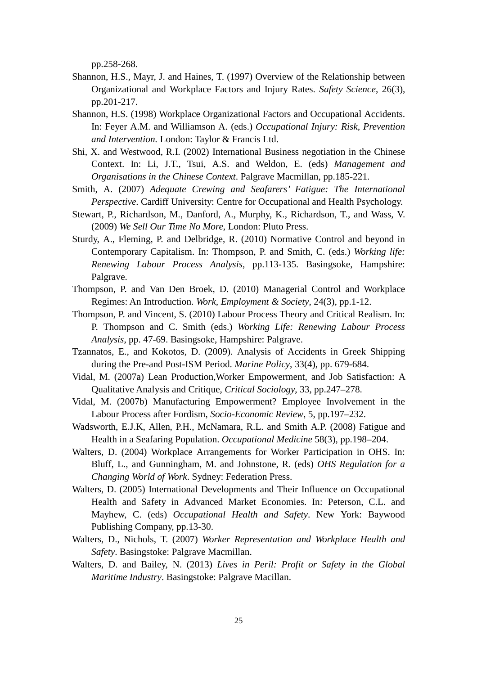pp.258-268.

- Shannon, H.S., Mayr, J. and Haines, T. (1997) Overview of the Relationship between Organizational and Workplace Factors and Injury Rates. *Safety Science*, 26(3), pp.201-217.
- Shannon, H.S. (1998) Workplace Organizational Factors and Occupational Accidents. In: Feyer A.M. and Williamson A. (eds.) *Occupational Injury: Risk, Prevention and Intervention.* London: Taylor & Francis Ltd.
- Shi, X. and Westwood, R.I. (2002) International Business negotiation in the Chinese Context. In: Li, J.T., Tsui, A.S. and Weldon, E. (eds) *Management and Organisations in the Chinese Context*. Palgrave Macmillan, pp.185-221.
- Smith, A. (2007) *Adequate Crewing and Seafarers' Fatigue: The International Perspective*. Cardiff University: Centre for Occupational and Health Psychology.
- Stewart, P., Richardson, M., Danford, A., Murphy, K., Richardson, T., and Wass, V. (2009) *We Sell Our Time No More*, London: Pluto Press.
- Sturdy, A., Fleming, P. and Delbridge, R. (2010) Normative Control and beyond in Contemporary Capitalism. In: Thompson, P. and Smith, C. (eds.) *Working life: Renewing Labour Process Analysis*, pp.113-135. Basingsoke, Hampshire: Palgrave.
- Thompson, P. and Van Den Broek, D. (2010) Managerial Control and Workplace Regimes: An Introduction. *Work, Employment & Society*, 24(3), pp.1-12.
- Thompson, P. and Vincent, S. (2010) Labour Process Theory and Critical Realism. In: P. Thompson and C. Smith (eds.) *Working Life: Renewing Labour Process Analysis*, pp. 47-69. Basingsoke, Hampshire: Palgrave.
- Tzannatos, E., and Kokotos, D. (2009). Analysis of Accidents in Greek Shipping during the Pre-and Post-ISM Period. *Marine Policy*, 33(4), pp. 679-684.
- Vidal, M. (2007a) Lean Production,Worker Empowerment, and Job Satisfaction: A Qualitative Analysis and Critique, *Critical Sociology*, 33, pp.247–278.
- Vidal, M. (2007b) Manufacturing Empowerment? Employee Involvement in the Labour Process after Fordism, *Socio-Economic Review*, 5, pp.197–232.
- Wadsworth, E.J.K, Allen, P.H., McNamara, R.L. and Smith A.P. (2008) Fatigue and Health in a Seafaring Population. *Occupational Medicine* 58(3), pp.198–204.
- Walters, D. (2004) Workplace Arrangements for Worker Participation in OHS. In: Bluff, L., and Gunningham, M. and Johnstone, R. (eds) *OHS Regulation for a Changing World of Work*. Sydney: Federation Press.
- Walters, D. (2005) International Developments and Their Influence on Occupational Health and Safety in Advanced Market Economies. In: Peterson, C.L. and Mayhew, C. (eds) *Occupational Health and Safety*. New York: Baywood Publishing Company, pp.13-30.
- Walters, D., Nichols, T. (2007) *Worker Representation and Workplace Health and Safety*. Basingstoke: Palgrave Macmillan.
- Walters, D. and Bailey, N. (2013) *Lives in Peril: Profit or Safety in the Global Maritime Industry*. Basingstoke: Palgrave Macillan.